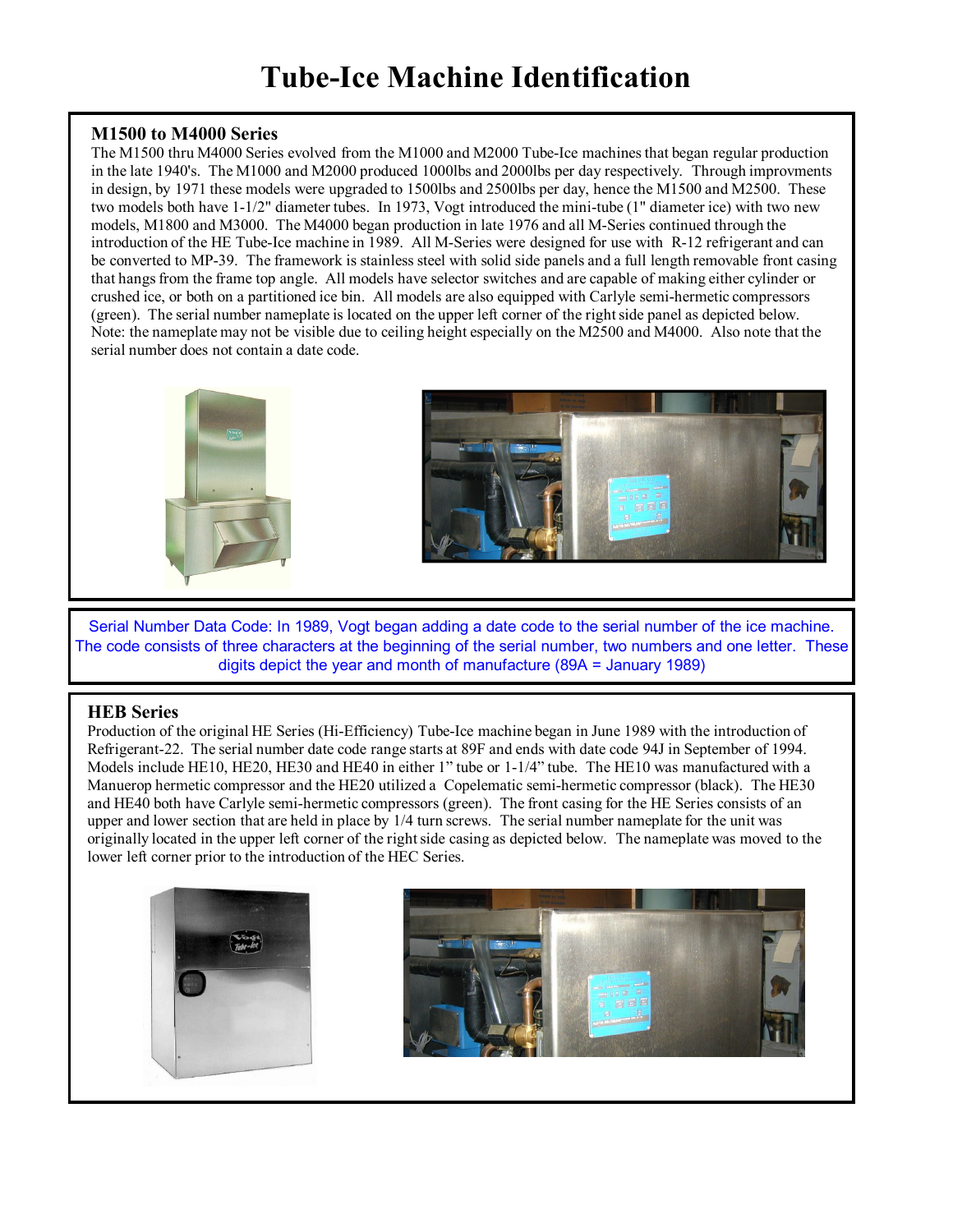## **Tube-Ice Machine Identification**

#### **M1500 to M4000 Series**

The M1500 thru M4000 Series evolved from the M1000 and M2000 Tube-Ice machines that began regular production in the late 1940's. The M1000 and M2000 produced 1000lbs and 2000lbs per day respectively. Through improvments in design, by 1971 these models were upgraded to 1500lbs and 2500lbs per day, hence the M1500 and M2500. These two models both have 1-1/2" diameter tubes. In 1973, Vogt introduced the mini-tube (1" diameter ice) with two new models, M1800 and M3000. The M4000 began production in late 1976 and all M-Series continued through the introduction of the HE Tube-Ice machine in 1989. All M-Series were designed for use with R-12 refrigerant and can be converted to MP-39. The framework is stainless steel with solid side panels and a full length removable front casing that hangs from the frame top angle. All models have selector switches and are capable of making either cylinder or crushed ice, or both on a partitioned ice bin. All models are also equipped with Carlyle semi-hermetic compressors (green). The serial number nameplate is located on the upper left corner of the right side panel as depicted below. Note: the nameplate may not be visible due to ceiling height especially on the M2500 and M4000. Also note that the serial number does not contain a date code.



Serial Number Data Code: In 1989, Vogt began adding a date code to the serial number of the ice machine. The code consists of three characters at the beginning of the serial number, two numbers and one letter. These digits depict the year and month of manufacture (89A = January 1989)

### **HEB Series**

Production of the original HE Series (Hi-Efficiency) Tube-Ice machine began in June 1989 with the introduction of Refrigerant-22. The serial number date code range starts at 89F and ends with date code 94J in September of 1994. Models include HE10, HE20, HE30 and HE40 in either 1" tube or 1-1/4" tube. The HE10 was manufactured with a Manuerop hermetic compressor and the HE20 utilized a Copelematic semi-hermetic compressor (black). The HE30 and HE40 both have Carlyle semi-hermetic compressors (green). The front casing for the HE Series consists of an upper and lower section that are held in place by 1/4 turn screws. The serial number nameplate for the unit was originally located in the upper left corner of the right side casing as depicted below. The nameplate was moved to the lower left corner prior to the introduction of the HEC Series.